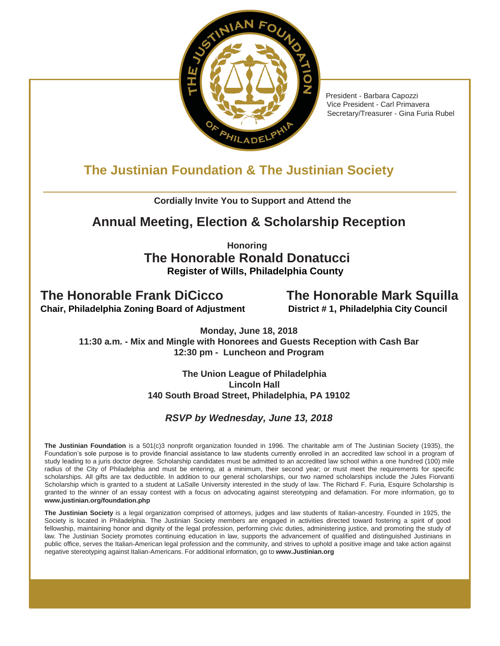

President - Barbara Capozzi Vice President - Carl Primavera Secretary/Treasurer - Gina Furia Rubel

# **The Justinian Foundation & The Justinian Society**

**Cordially Invite You to Support and Attend the**

# **Annual Meeting, Election & Scholarship Reception**

**Honoring The Honorable Ronald Donatucci Register of Wills, Philadelphia County**

## **The Honorable Frank DiCicco The Honorable Mark Squilla**

**Chair, Philadelphia Zoning Board of Adjustment District # 1, Philadelphia City Council** 

**Monday, June 18, 2018 11:30 a.m. - Mix and Mingle with Honorees and Guests Reception with Cash Bar 12:30 pm - Luncheon and Program**

> **The Union League of Philadelphia Lincoln Hall 140 South Broad Street, Philadelphia, PA 19102**

### *RSVP by Wednesday, June 13, 2018*

**The Justinian Foundation** is a 501(c)3 nonprofit organization founded in 1996. The charitable arm of The Justinian Society (1935), the Foundation's sole purpose is to provide financial assistance to law students currently enrolled in an accredited law school in a program of study leading to a juris doctor degree. Scholarship candidates must be admitted to an accredited law school within a one hundred (100) mile radius of the City of Philadelphia and must be entering, at a minimum, their second year; or must meet the requirements for specific scholarships. All gifts are tax deductible. In addition to our general scholarships, our two named scholarships include the Jules Fiorvanti Scholarship which is granted to a student at LaSalle University interested in the study of law. The Richard F. Furia, Esquire Scholarship is granted to the winner of an essay contest with a focus on advocating against stereotyping and defamation. For more information, go to **[www.justinian.org/foundation.php](http://www.justinian.org/foundation.php)**

**The Justinian Society** is a legal organization comprised of attorneys, judges and law students of Italian-ancestry. Founded in 1925, the Society is located in Philadelphia. The Justinian Society members are engaged in activities directed toward fostering a spirit of good fellowship, maintaining honor and dignity of the legal profession, performing civic duties, administering justice, and promoting the study of law. The Justinian Society promotes continuing education in law, supports the advancement of qualified and distinguished Justinians in public office, serves the Italian-American legal profession and the community, and strives to uphold a positive image and take action against negative stereotyping against Italian-Americans. For additional information, go to **[www.Justinian.org](http://www.justinian.org/)**